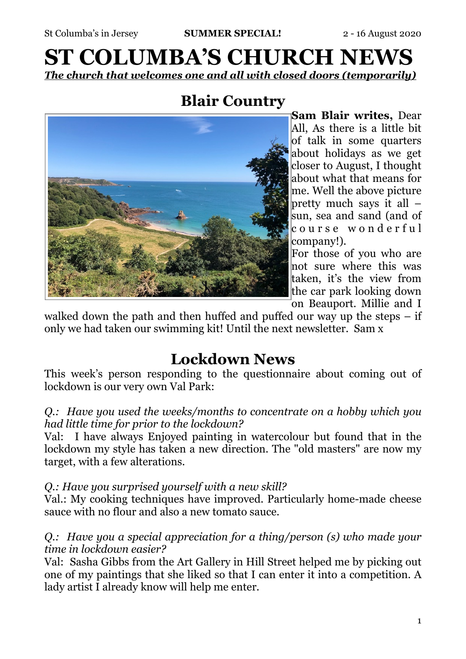# **ST COLUMBA'S CHURCH NEWS**  *The church that welcomes one and all with closed doors (temporarily)*

### **Blair Country**



**Sam Blair writes,** Dear All, As there is a little bit of talk in some quarters about holidays as we get closer to August, I thought about what that means for me. Well the above picture pretty much says it all – sun, sea and sand (and of c o u r s e w o n d e r f u l company!).

For those of you who are not sure where this was taken, it's the view from the car park looking down on Beauport. Millie and I

walked down the path and then huffed and puffed our way up the steps  $-$  if only we had taken our swimming kit! Until the next newsletter. Sam x

## **Lockdown News**

This week's person responding to the questionnaire about coming out of lockdown is our very own Val Park:

*Q.: Have you used the weeks/months to concentrate on a hobby which you had little time for prior to the lockdown?*

Val: I have always Enjoyed painting in watercolour but found that in the lockdown my style has taken a new direction. The "old masters" are now my target, with a few alterations.

### *Q.: Have you surprised yourself with a new skill?*

Val.: My cooking techniques have improved. Particularly home-made cheese sauce with no flour and also a new tomato sauce.

### *Q.: Have you a special appreciation for a thing/person (s) who made your time in lockdown easier?*

Val: Sasha Gibbs from the Art Gallery in Hill Street helped me by picking out one of my paintings that she liked so that I can enter it into a competition. A lady artist  $\overline{I}$  already know will help me enter.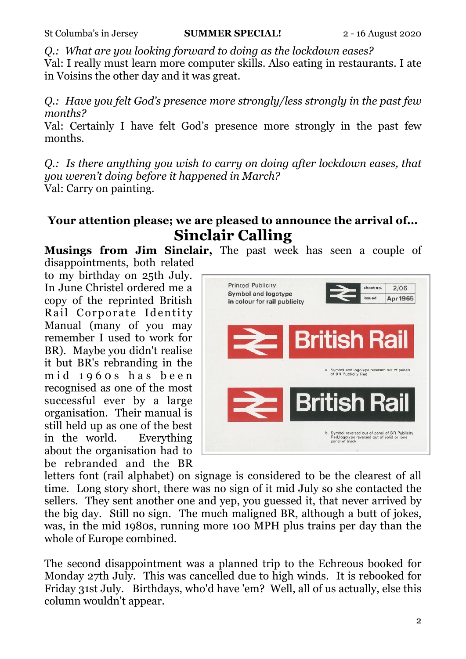*Q.: What are you looking forward to doing as the lockdown eases?*

Val: I really must learn more computer skills. Also eating in restaurants. I ate in Voisins the other day and it was great.

*Q.: Have you felt God's presence more strongly/less strongly in the past few months?*

Val: Certainly I have felt God's presence more strongly in the past few months.

*Q.: Is there anything you wish to carry on doing after lockdown eases, that you weren't doing before it happened in March?* Val: Carry on painting.

### **Your attention please; we are pleased to announce the arrival of... Sinclair Calling**

**Musings from Jim Sinclair,** The past week has seen a couple of disappointments, both related

to my birthday on 25th July. In June Christel ordered me a copy of the reprinted British Rail Corporate Identity Manual (many of you may remember I used to work for BR). Maybe you didn't realise it but BR's rebranding in the mid 1960s has been recognised as one of the most successful ever by a large organisation. Their manual is still held up as one of the best in the world. Everything about the organisation had to be rebranded and the BR



letters font (rail alphabet) on signage is considered to be the clearest of all time. Long story short, there was no sign of it mid July so she contacted the sellers. They sent another one and yep, you guessed it, that never arrived by the big day. Still no sign. The much maligned BR, although a butt of jokes, was, in the mid 1980s, running more 100 MPH plus trains per day than the whole of Europe combined.

The second disappointment was a planned trip to the Echreous booked for Monday 27th July. This was cancelled due to high winds. It is rebooked for Friday 31st July. Birthdays, who'd have 'em? Well, all of us actually, else this column wouldn't appear.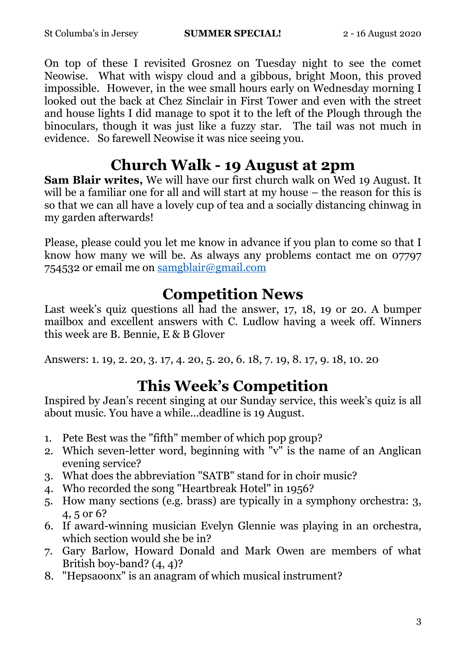On top of these I revisited Grosnez on Tuesday night to see the comet Neowise. What with wispy cloud and a gibbous, bright Moon, this proved impossible. However, in the wee small hours early on Wednesday morning I looked out the back at Chez Sinclair in First Tower and even with the street and house lights I did manage to spot it to the left of the Plough through the binoculars, though it was just like a fuzzy star. The tail was not much in evidence. So farewell Neowise it was nice seeing you.

## **Church Walk - 19 August at 2pm**

**Sam Blair writes,** We will have our first church walk on Wed 19 August. It will be a familiar one for all and will start at my house – the reason for this is so that we can all have a lovely cup of tea and a socially distancing chinwag in my garden afterwards!

Please, please could you let me know in advance if you plan to come so that I know how many we will be. As always any problems contact me on 07797 754532 or email me on [samgblair@gmail.com](mailto:samgblair@gmail.com)

### **Competition News**

Last week's quiz questions all had the answer,  $17, 18, 19$  or 20. A bumper mailbox and excellent answers with C. Ludlow having a week off. Winners this week are B. Bennie, E & B Glover

Answers: 1. 19, 2. 20, 3. 17, 4. 20, 5. 20, 6. 18, 7. 19, 8. 17, 9. 18, 10. 20

# **This Week's Competition**

Inspired by Jean's recent singing at our Sunday service, this week's quiz is all about music. You have a while...deadline is 19 August.

- 1. Pete Best was the "fifth" member of which pop group?
- 2. Which seven-letter word, beginning with  $\overline{v}$  is the name of an Anglican evening service?
- 3. What does the abbreviation "SATB" stand for in choir music?
- 4. Who recorded the song "Heartbreak Hotel" in 1956?
- 5. How many sections (e.g. brass) are typically in a symphony orchestra: 3, 4, 5 or 6?
- 6. If award-winning musician Evelyn Glennie was playing in an orchestra, which section would she be in?
- 7. Gary Barlow, Howard Donald and Mark Owen are members of what British boy-band? (4, 4)?
- 8. "Hepsaoonx" is an anagram of which musical instrument?